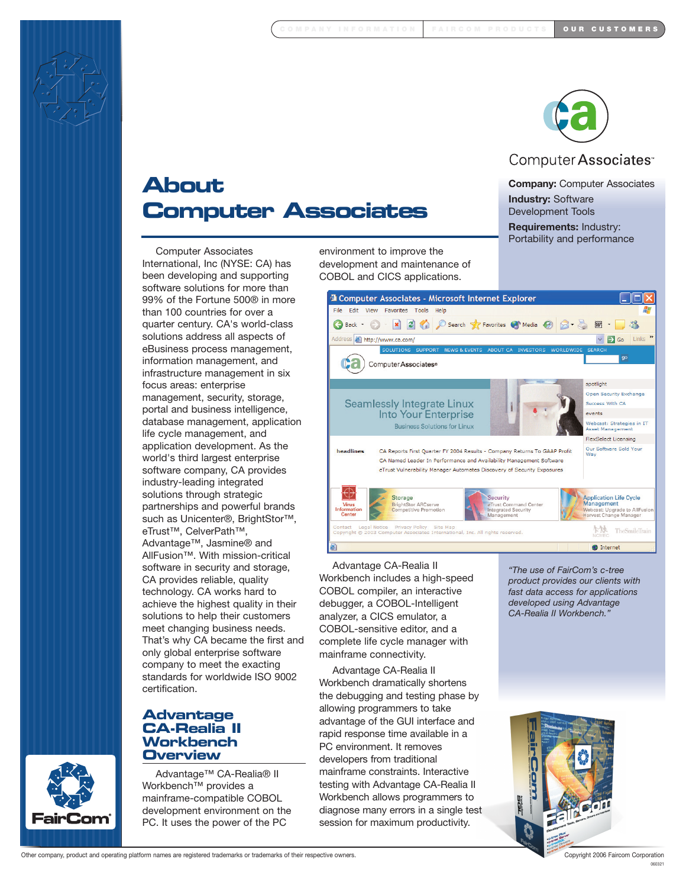



# Computer Associates<sup>®</sup>

**About Computer Associates**

**Company:** Computer Associates **Industry:** Software Development Tools **Requirements:** Industry: Portability and performance

Computer Associates International, Inc (NYSE: CA) has been developing and supporting software solutions for more than 99% of the Fortune 500® in more than 100 countries for over a quarter century. CA's world-class solutions address all aspects of eBusiness process management, information management, and infrastructure management in six focus areas: enterprise management, security, storage, portal and business intelligence, database management, application life cycle management, and application development. As the world's third largest enterprise software company, CA provides industry-leading integrated solutions through strategic partnerships and powerful brands such as Unicenter®, BrightStor<sup>™</sup>, eTrust™, CelverPath™, Advantage™, Jasmine® and AllFusion™. With mission-critical software in security and storage, CA provides reliable, quality technology. CA works hard to achieve the highest quality in their solutions to help their customers meet changing business needs. That's why CA became the first and only global enterprise software company to meet the exacting standards for worldwide ISO 9002 certification.

# **Advantage CA-Realia II Workbench Overview**

Advantage™ CA-Realia® II Workbench™ provides a mainframe-compatible COBOL development environment on the PC. It uses the power of the PC

environment to improve the development and maintenance of COBOL and CICS applications.



Advantage CA-Realia II Workbench includes a high-speed COBOL compiler, an interactive debugger, a COBOL-Intelligent analyzer, a CICS emulator, a COBOL-sensitive editor, and a complete life cycle manager with mainframe connectivity.

Advantage CA-Realia II Workbench dramatically shortens the debugging and testing phase by allowing programmers to take advantage of the GUI interface and rapid response time available in a PC environment. It removes developers from traditional mainframe constraints. Interactive testing with Advantage CA-Realia II Workbench allows programmers to diagnose many errors in a single test session for maximum productivity.

*"The use of FairCom's c-tree product provides our clients with fast data access for applications developed using Advantage CA-Realia II Workbench."*



Other company, product and operating platform names are registered trademarks or trademarks of their respective owners. Copyright 2006 Faircom Corporation